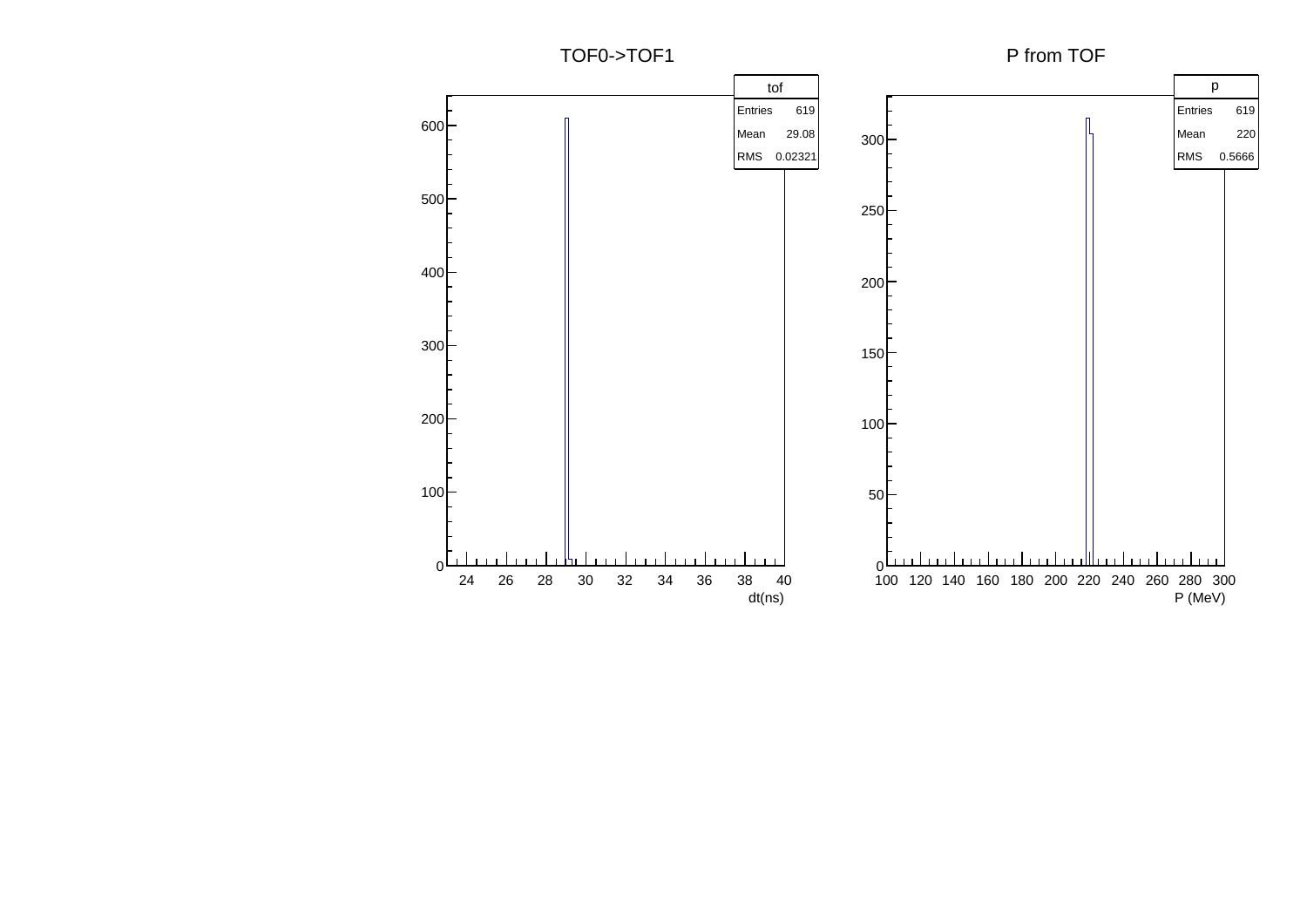TOF0->TOF1

P from TOF

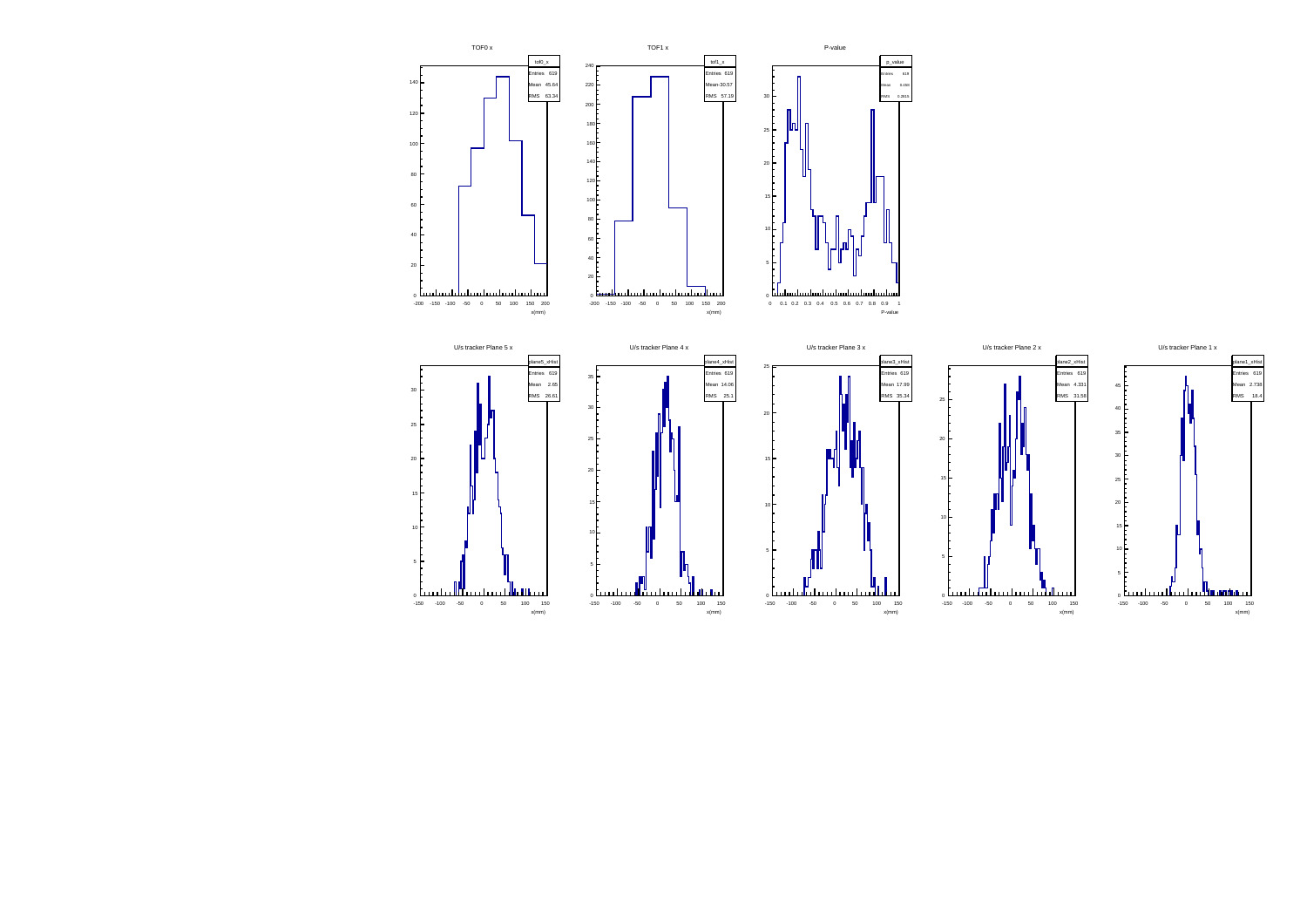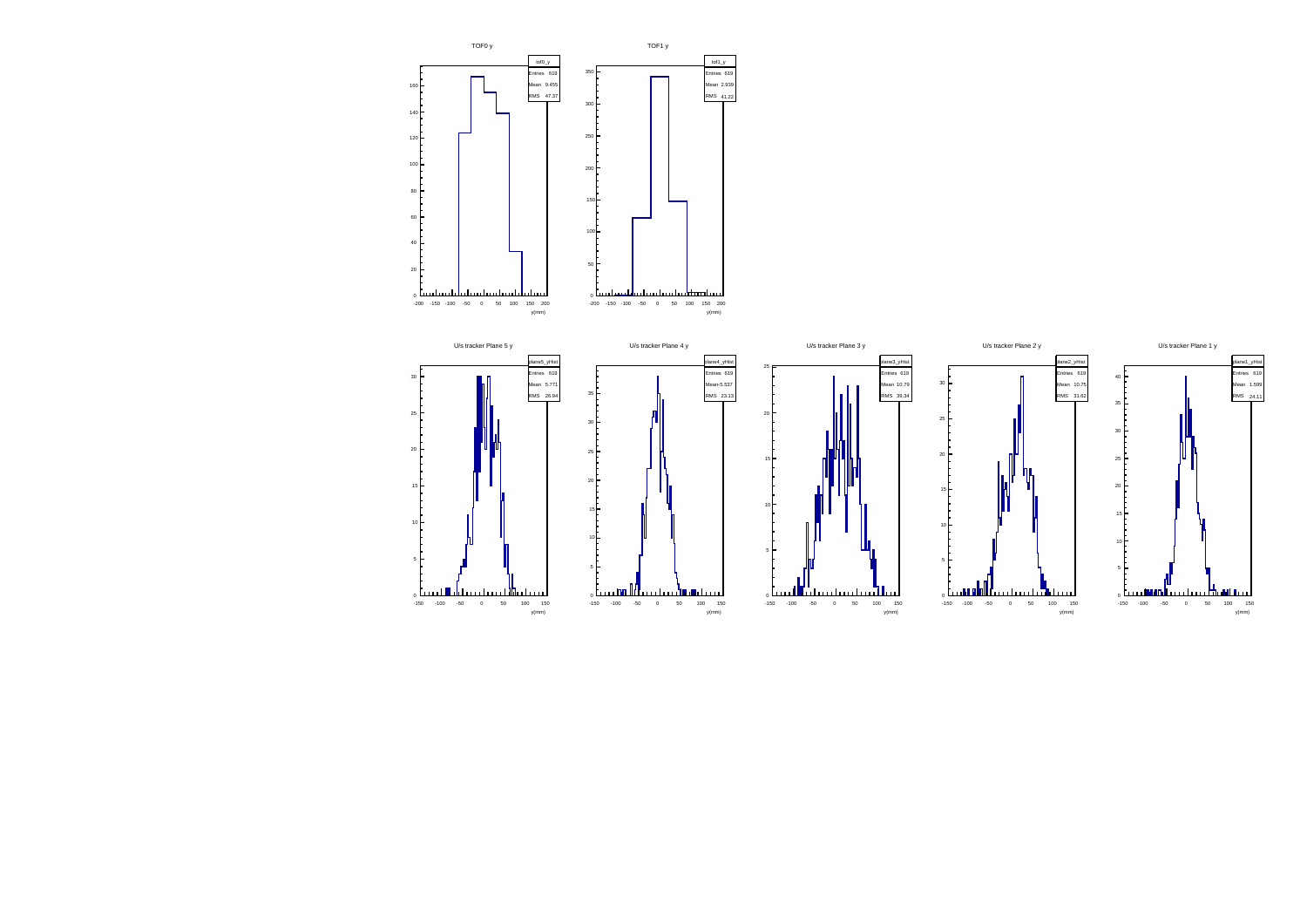









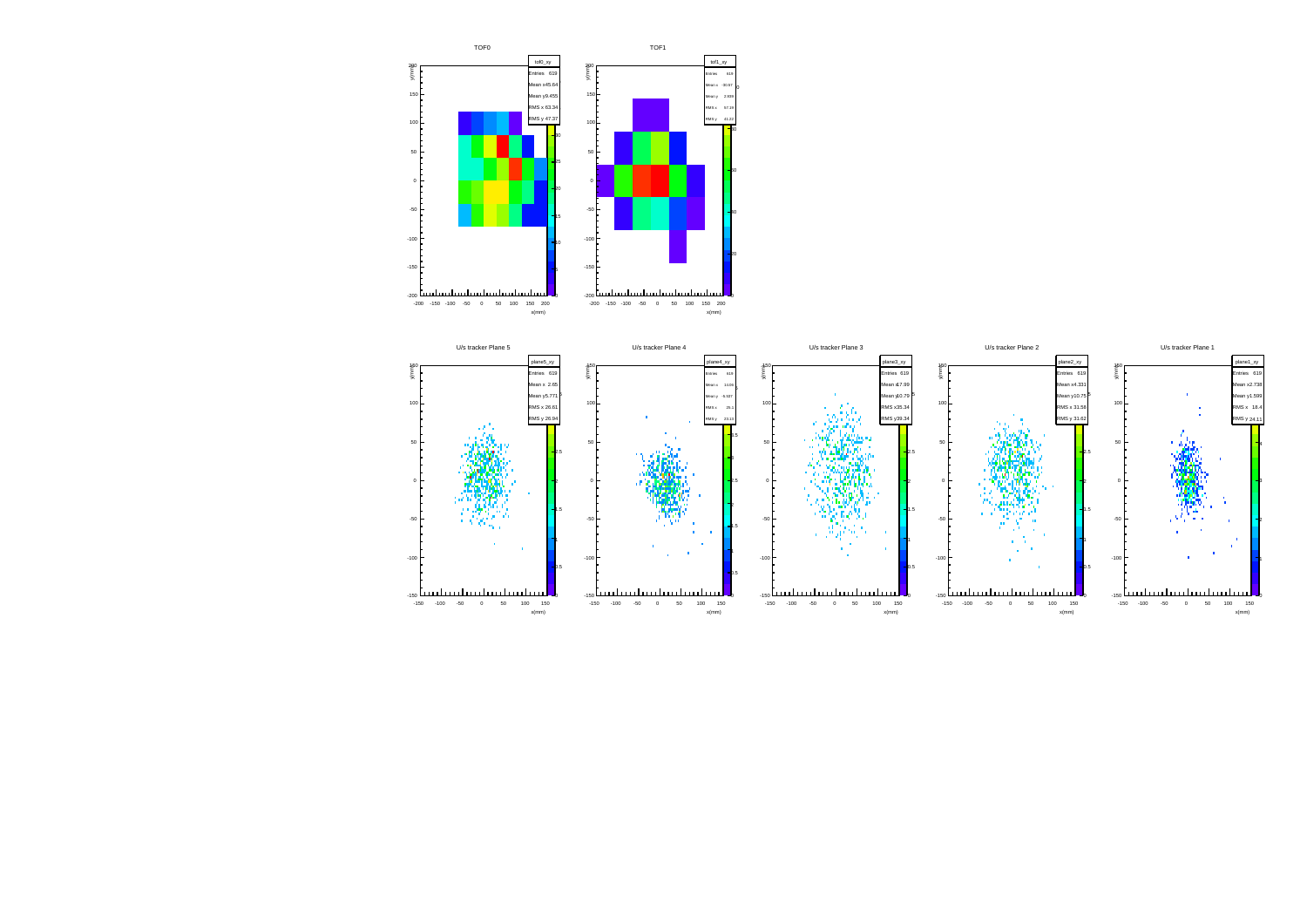

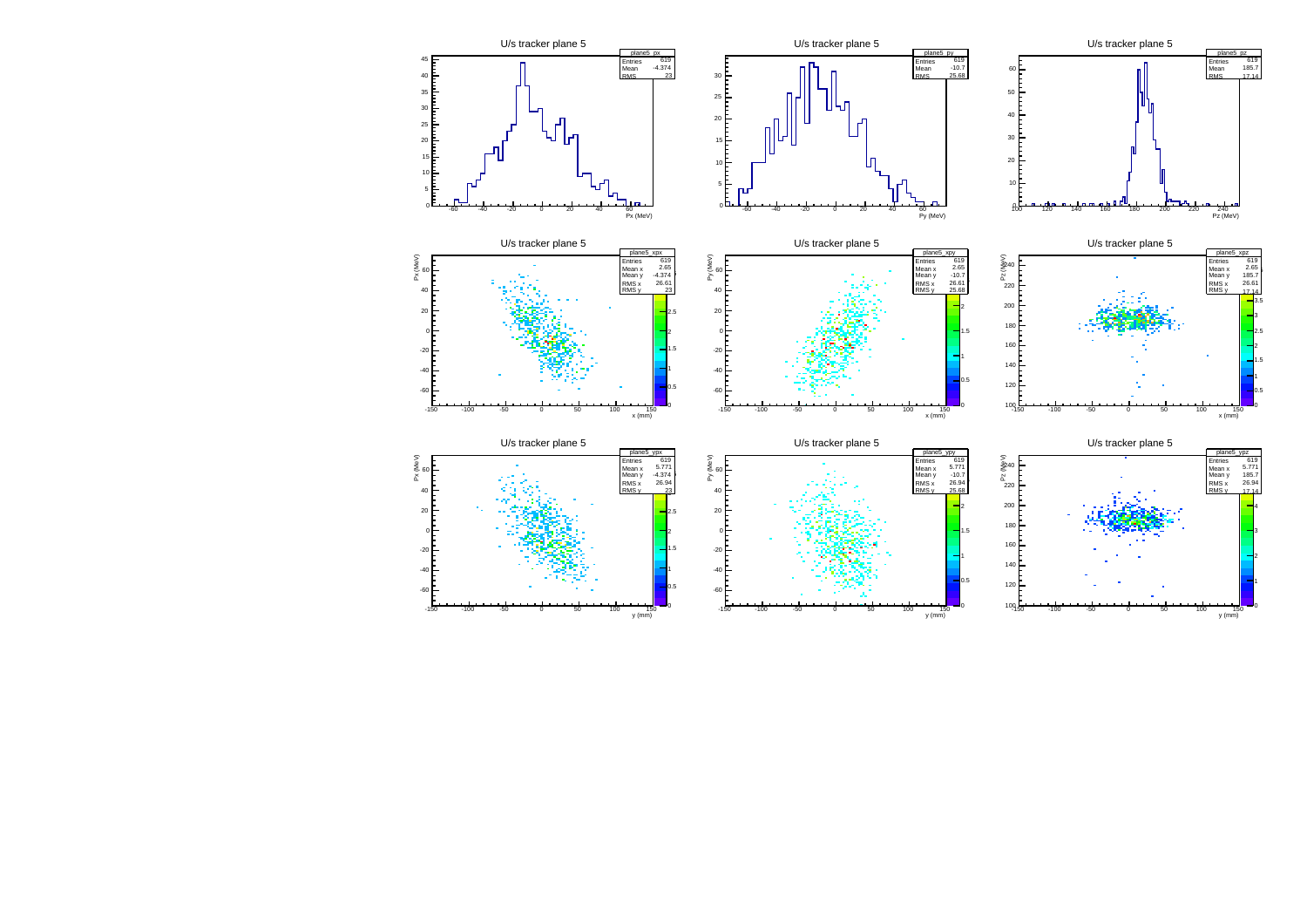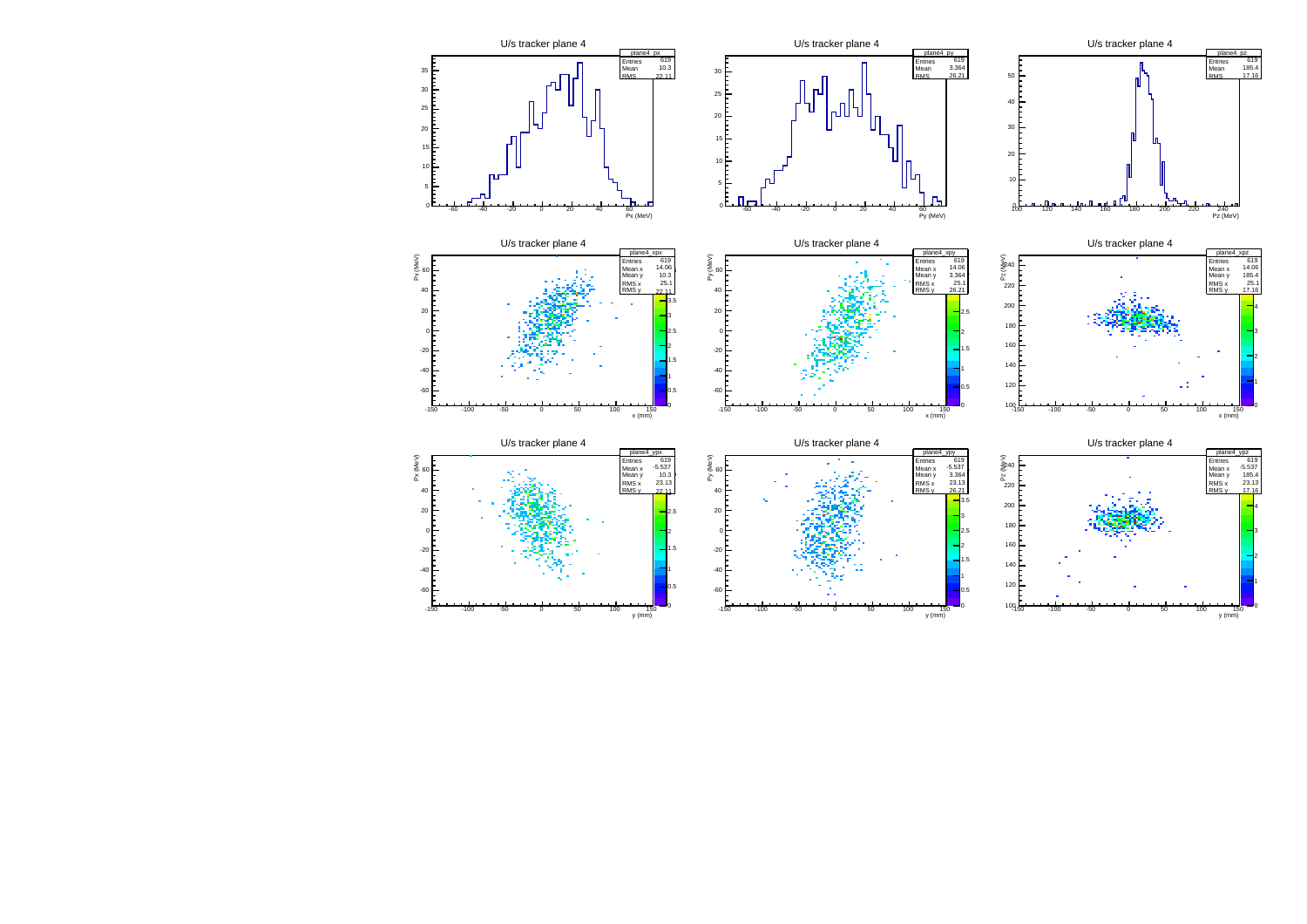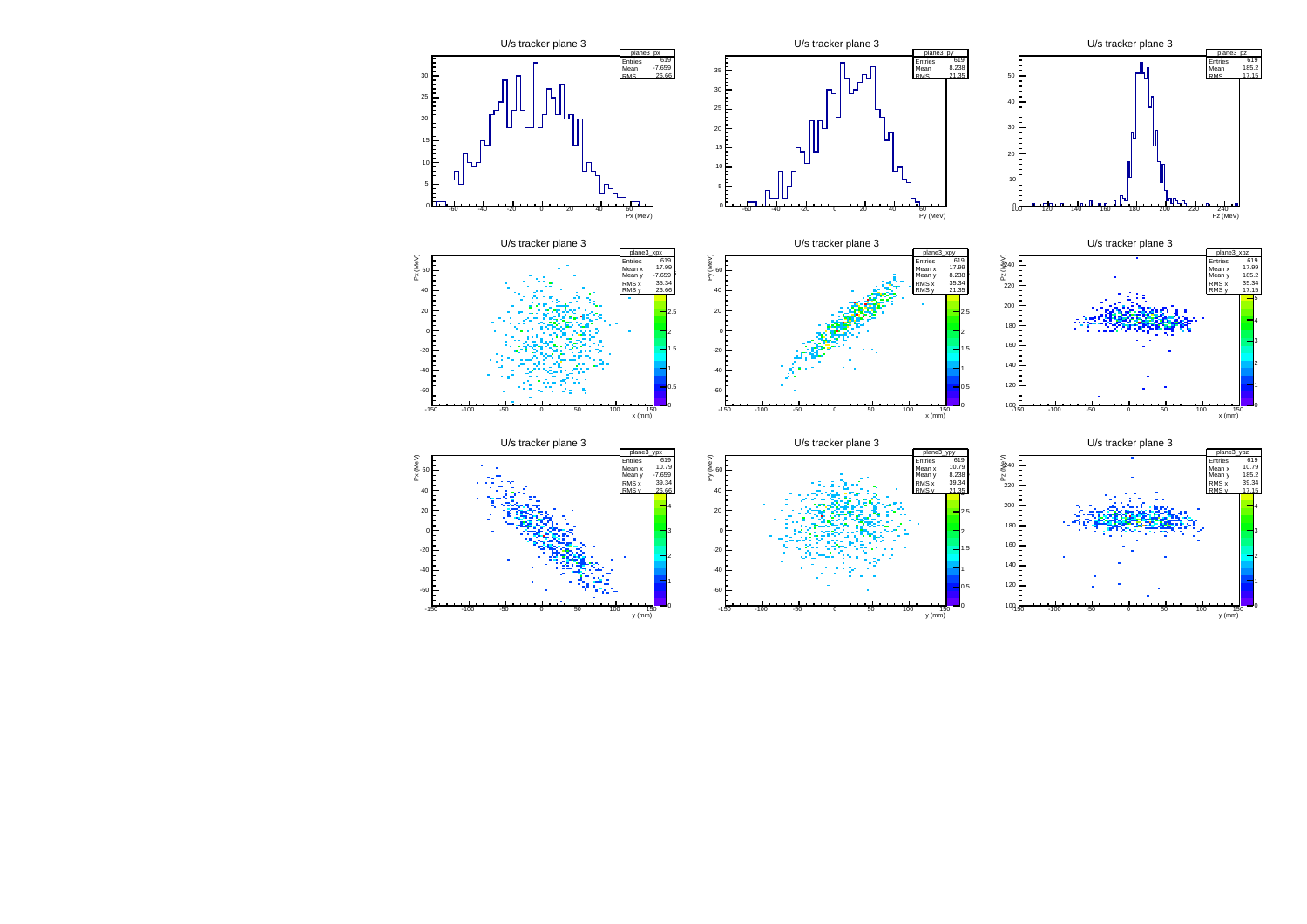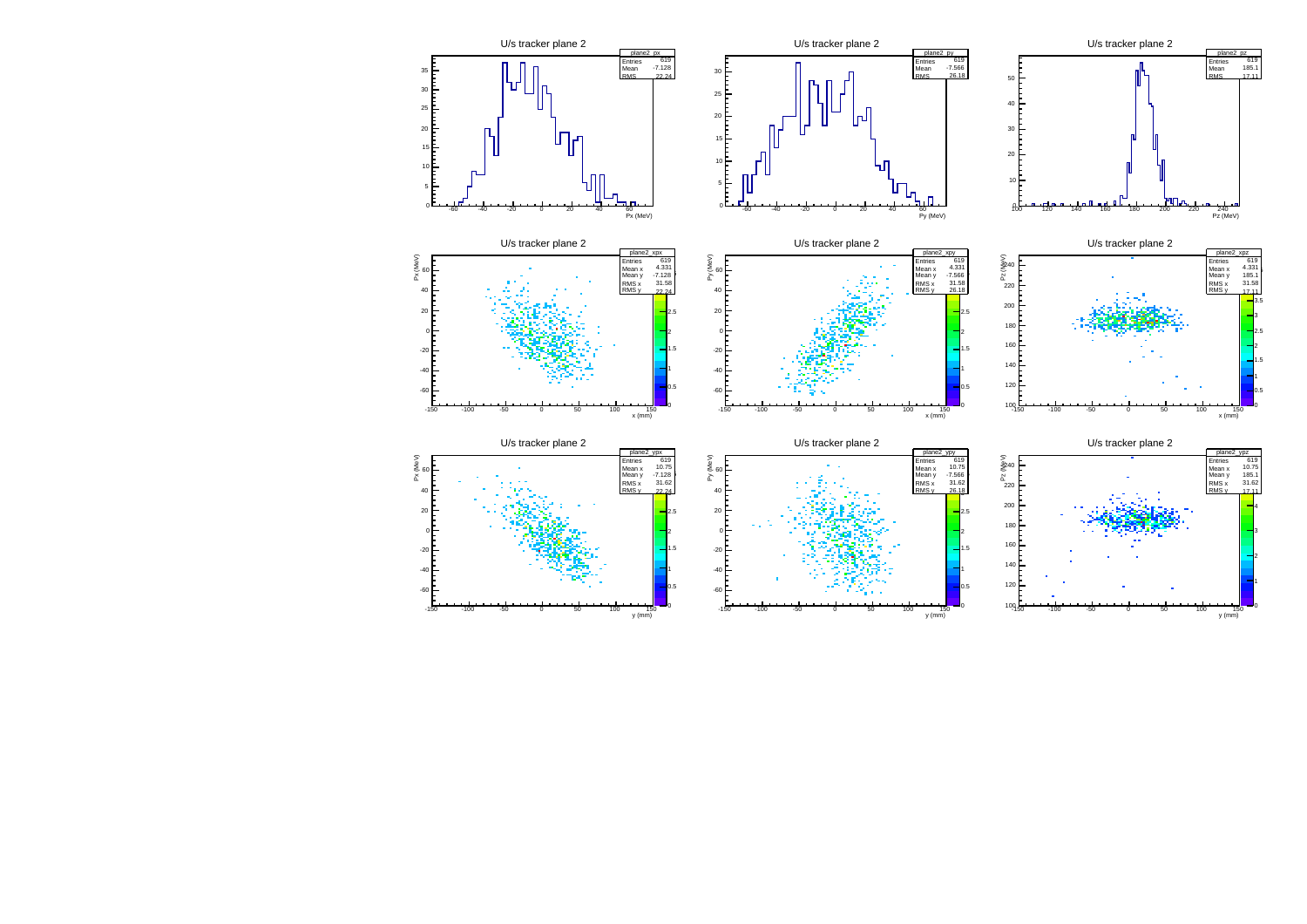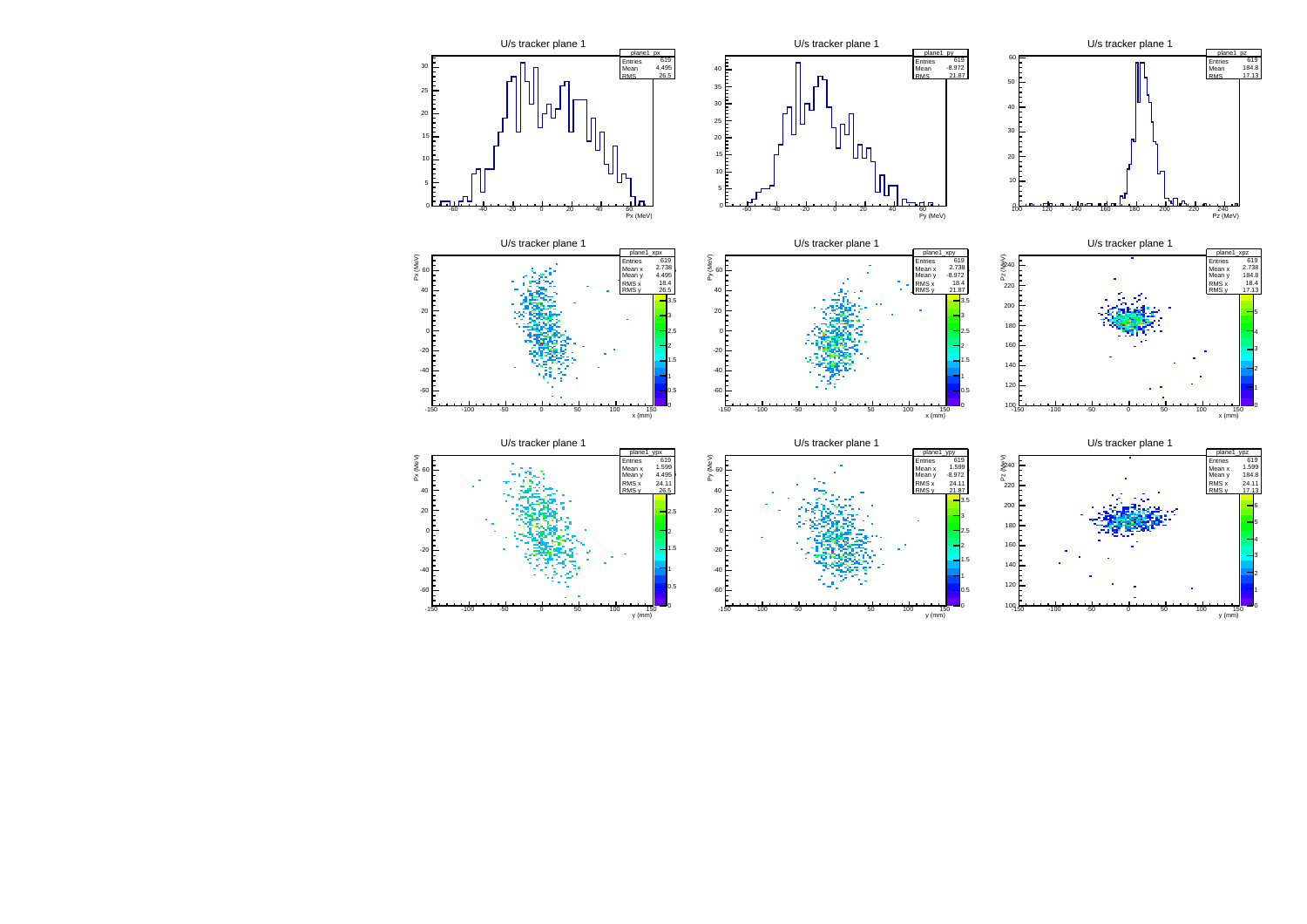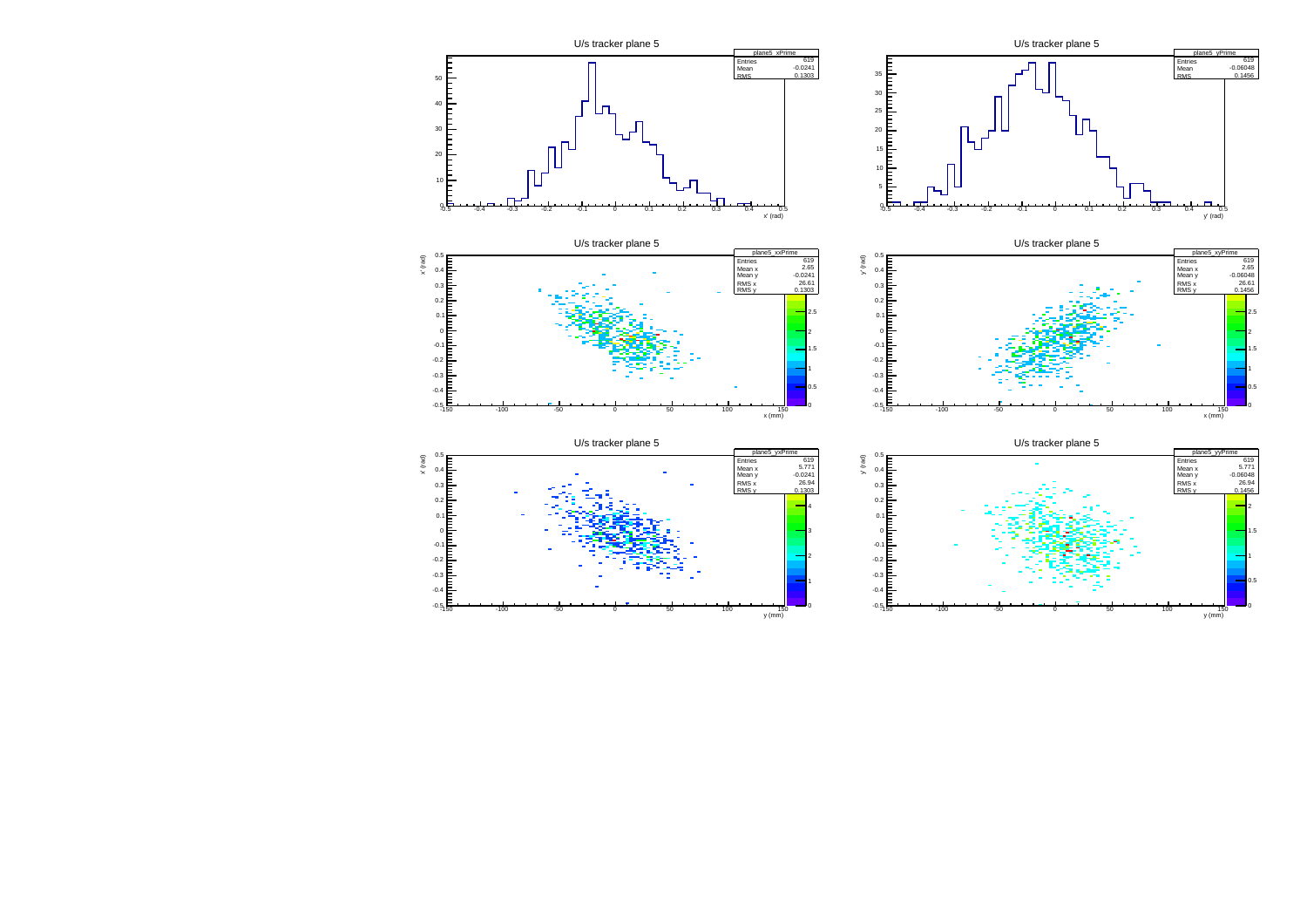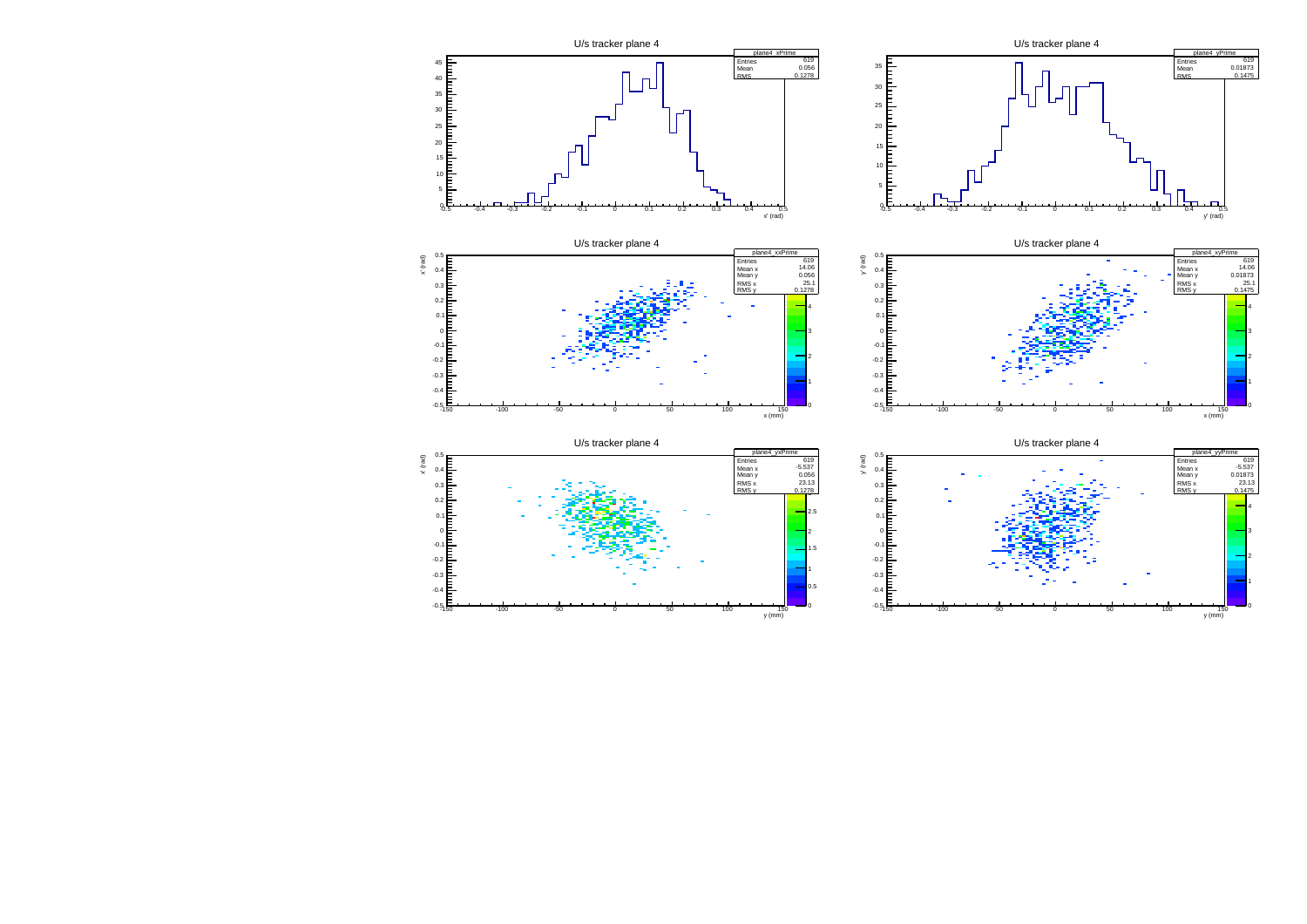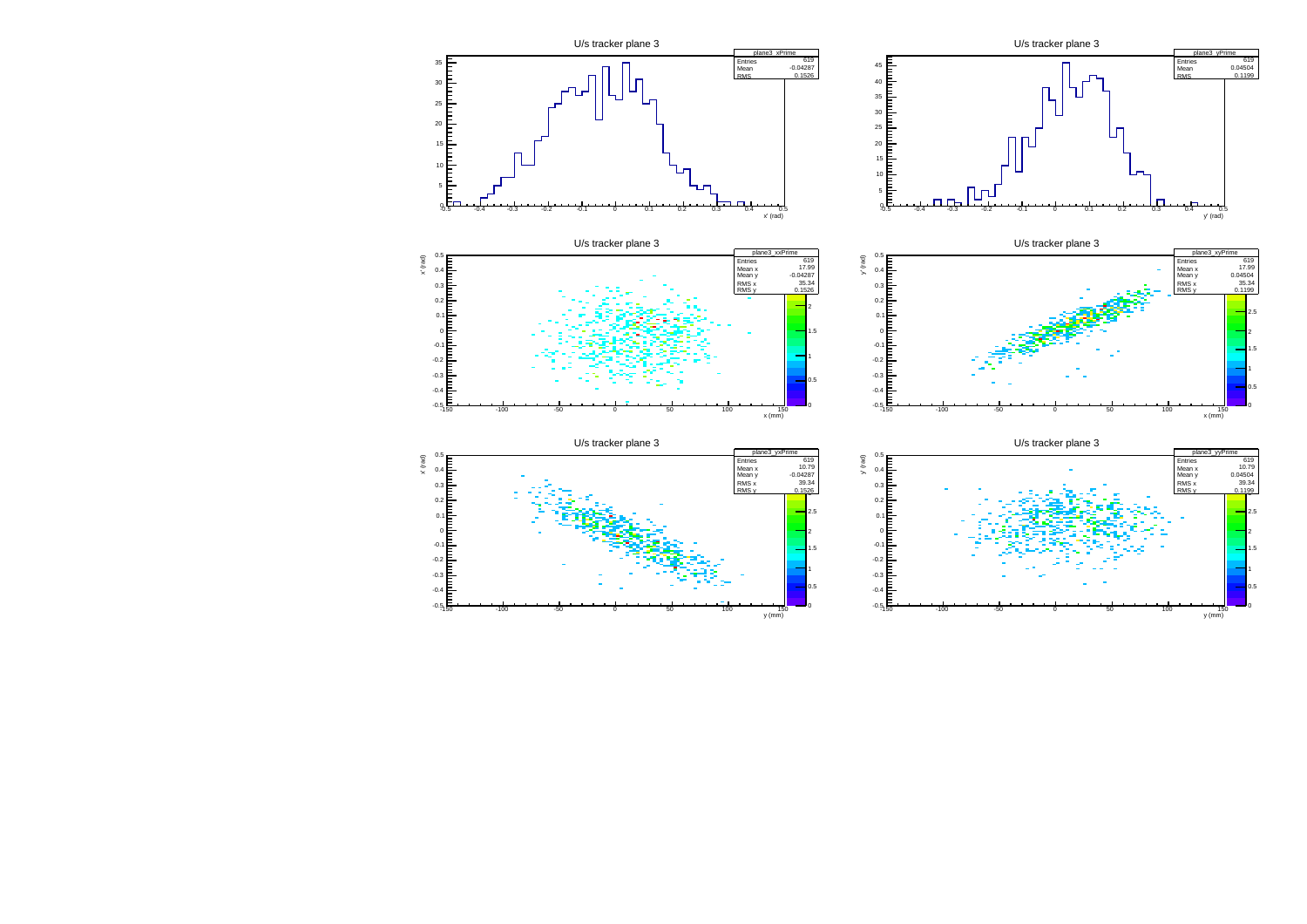

 $\frac{150}{y (mm)}$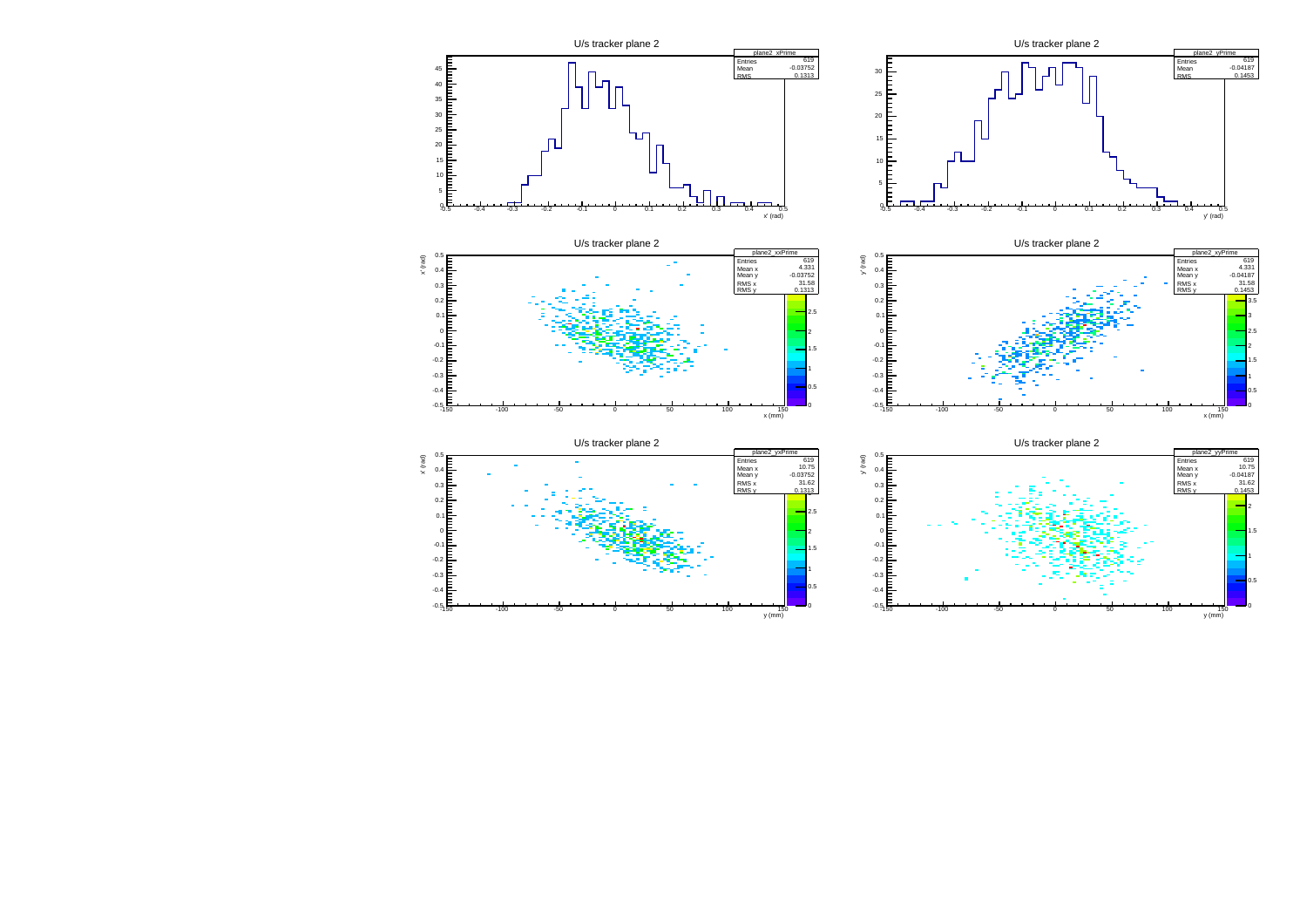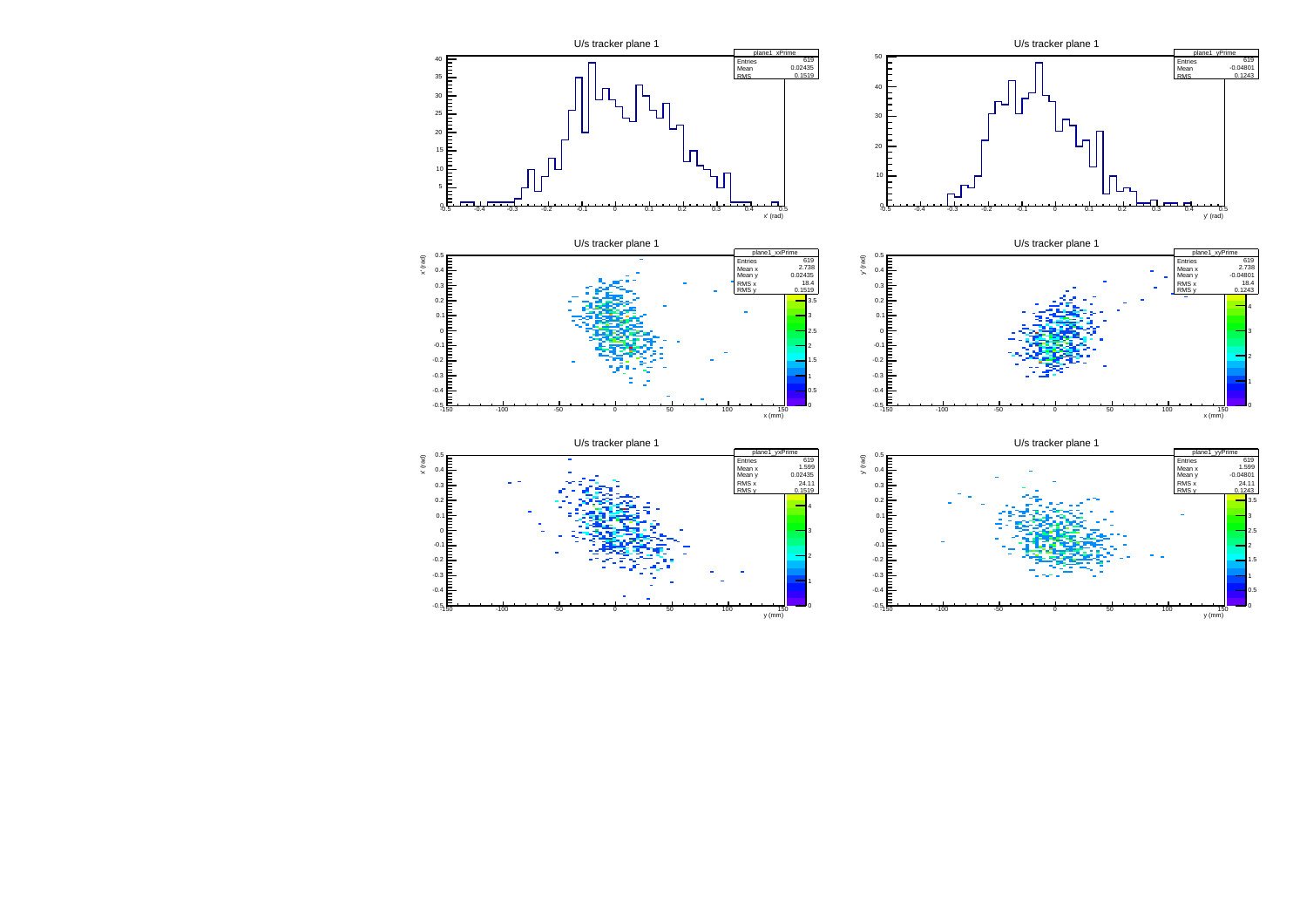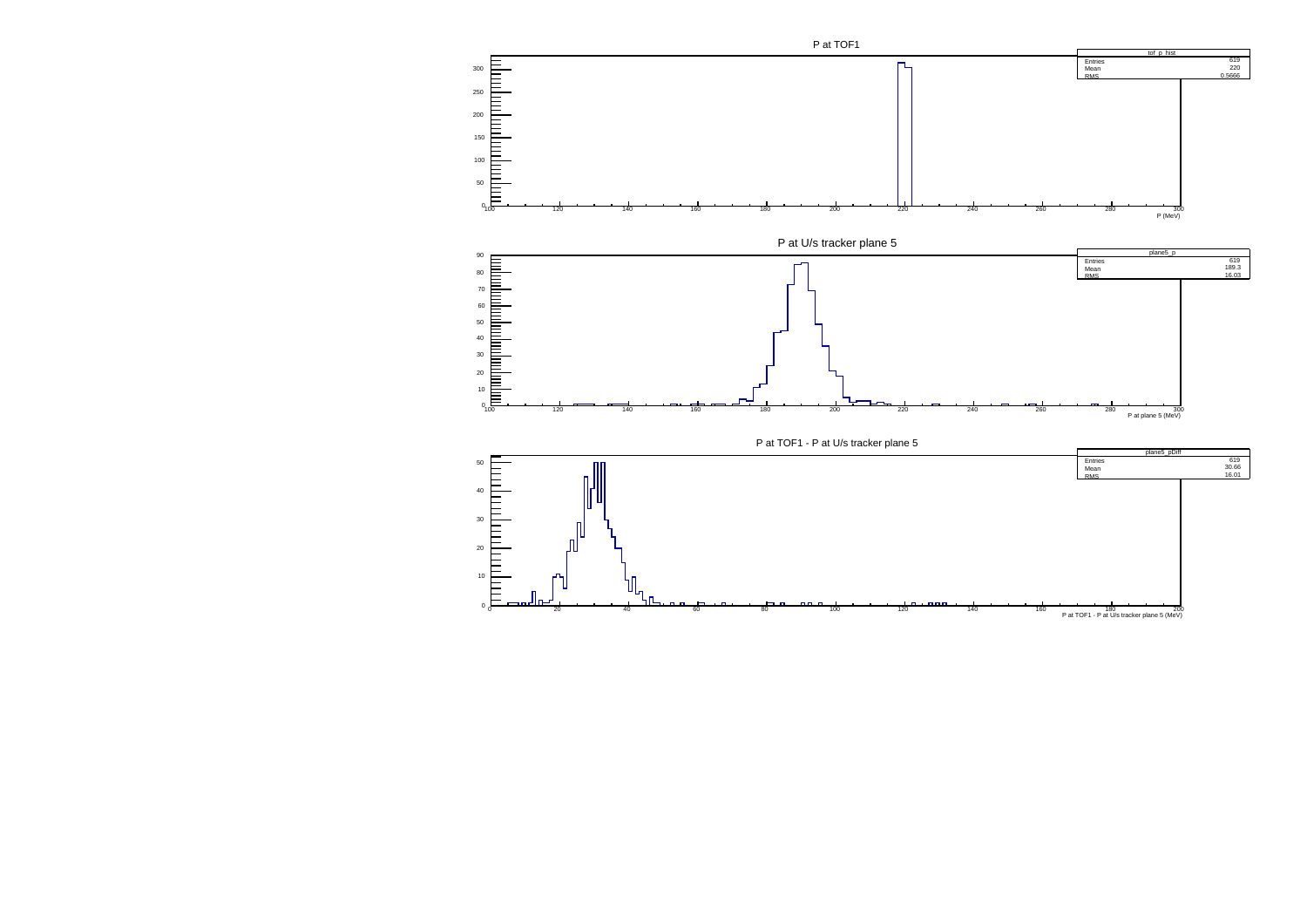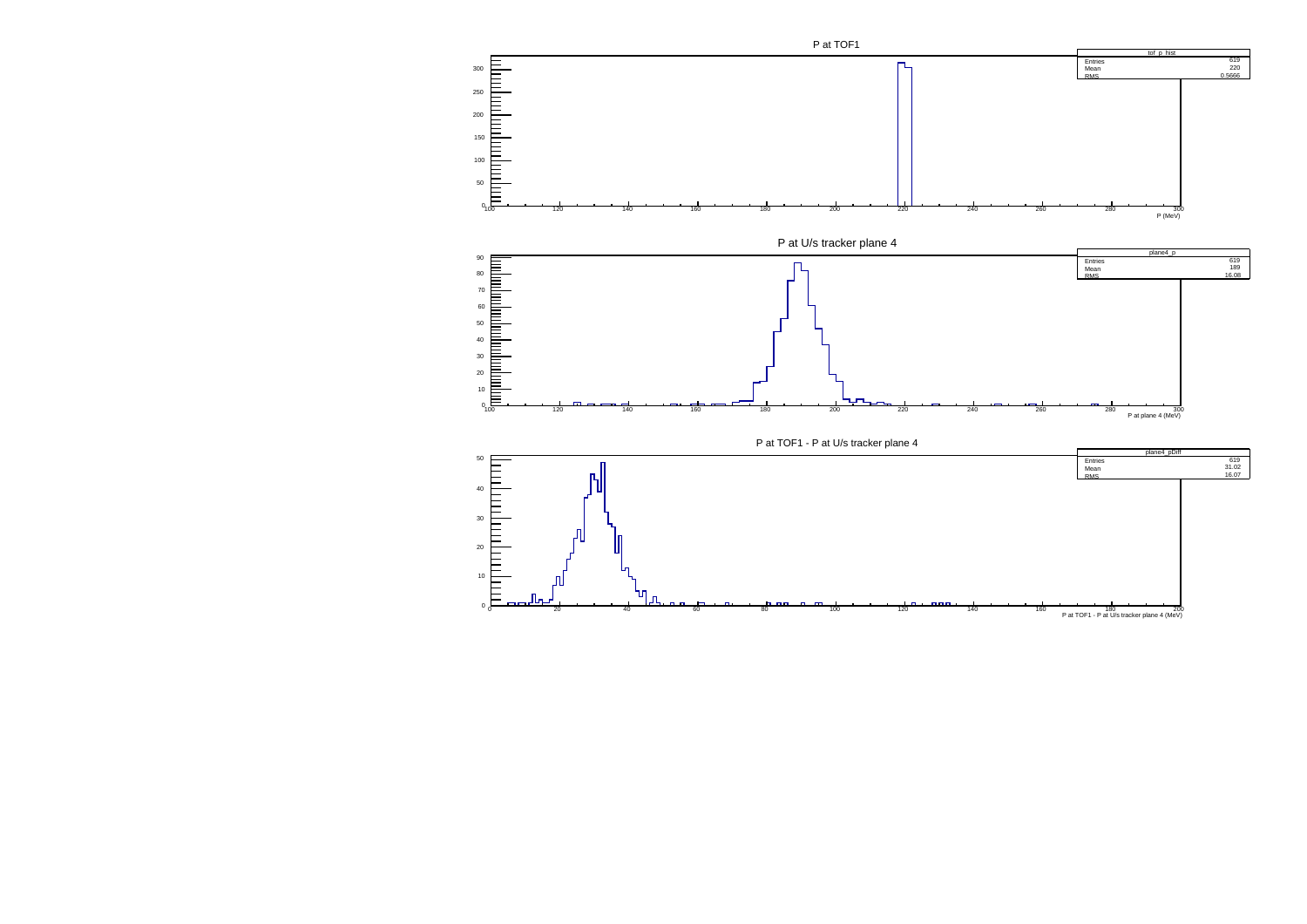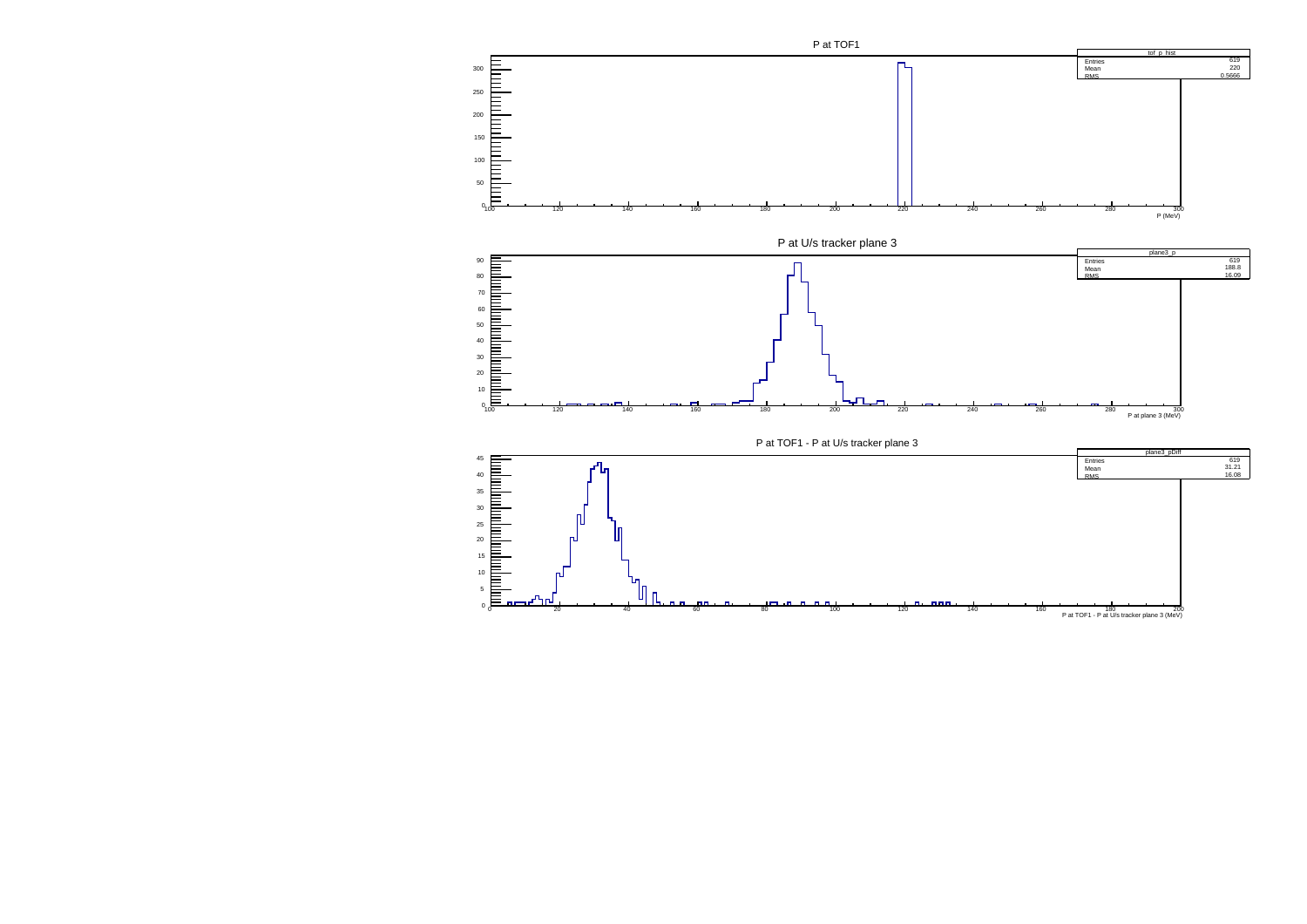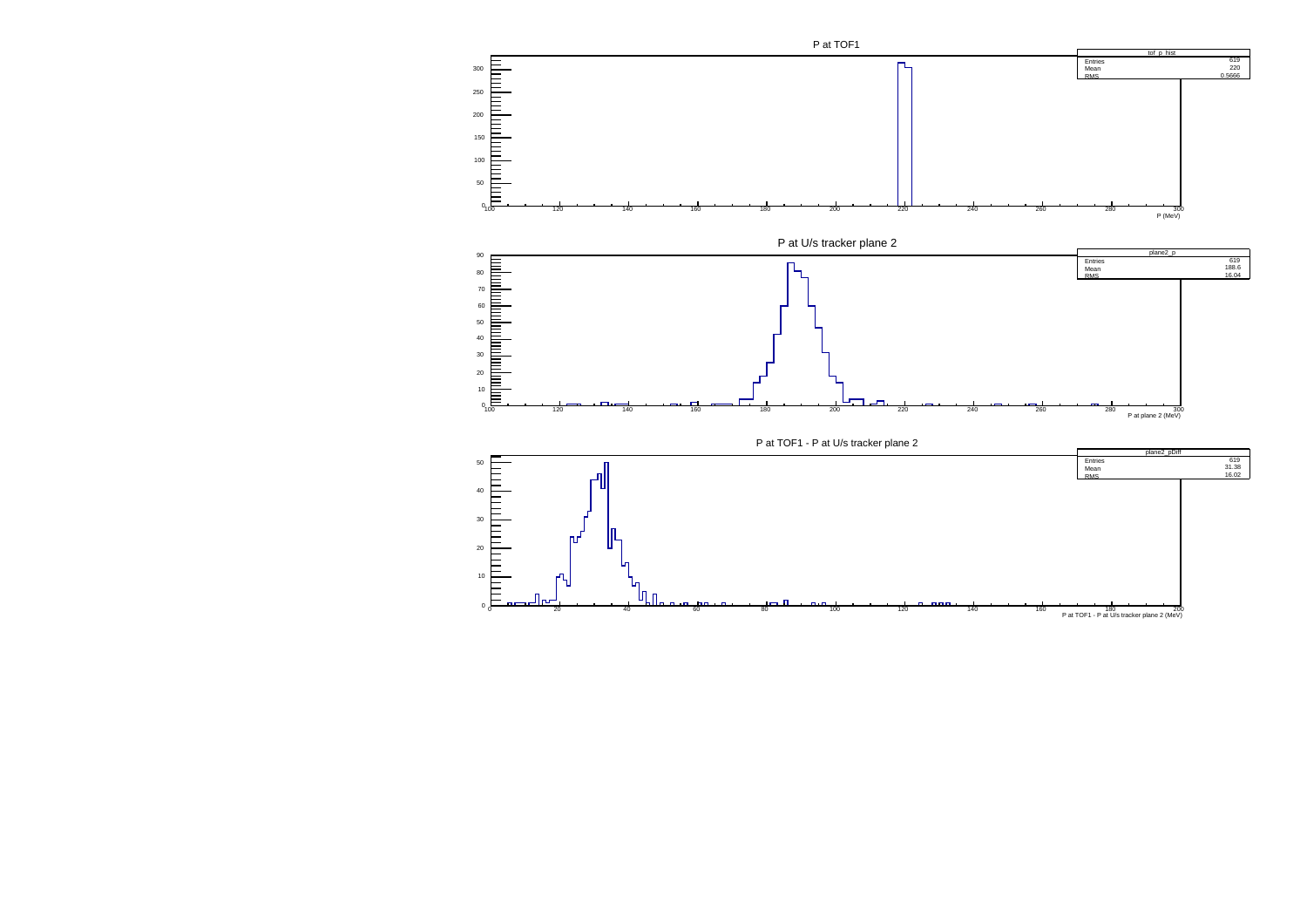